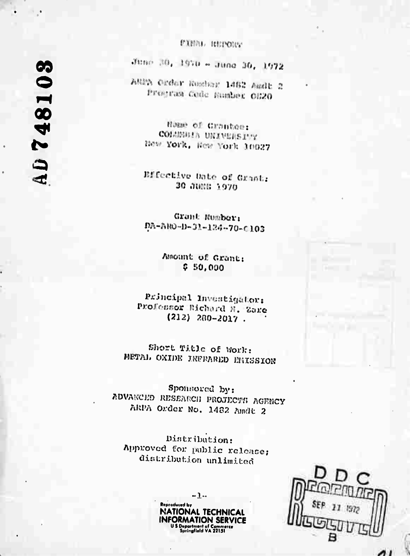### **MINNE BUILDING**

AD748103

June 30, 1970 - June 30, 1972

ANDA Order Komber 1462 Andt 2 Program Code Munber 0120

Home of Crantee: COLUMBIA UNIVERSITY Hew York, Hew York 10027

Bifective Date of Grant: 30 JUNE 1970

Grant Mumber: DA-ARO-D-31-124-70-C103

> Amount of Grant:  $$50,000$

Principal Investigator: Professor Richard N. Zane  $(212) 280 - 2017$ .

Short Title of Work: METAL OXIDE INFRARED ERISSION

Sponsored by: ADVANCED RESEARCH PROJECTS AGENCY ARPA Order No. 1482 Andt 2

Distribution: Approved for public release; distribution unlimited

> $-1-$ **Reproduced by NATIONAL TECHNICAL INFORMATION SERVICE** U.S. Department of Commerce<br>Springfield VA 22151

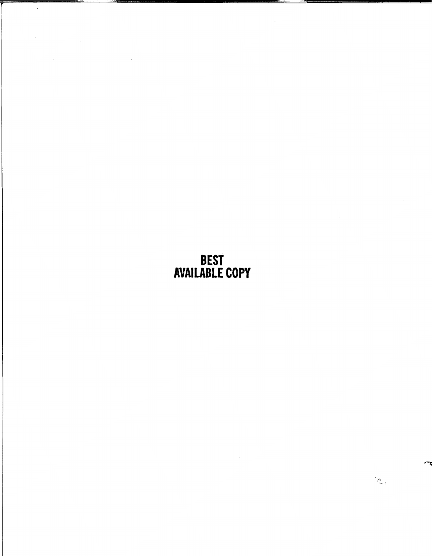# BEST AVAILABLE COPY

 $\mathbb{Z}_+$ 

r

 $\ddot{\cdot}$ 

 $\bar{z}$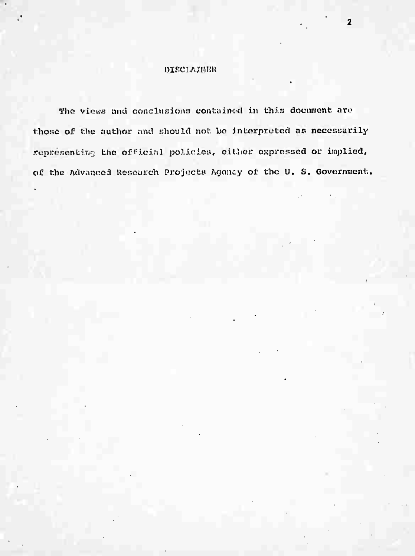#### DISCLAIMER

The views and conclusions contained in this document are those of the author and should not be interpreted as necessarily representing the official policies, either expressed or implied, of the Advanced Research Projects Agency of the U. S. Government.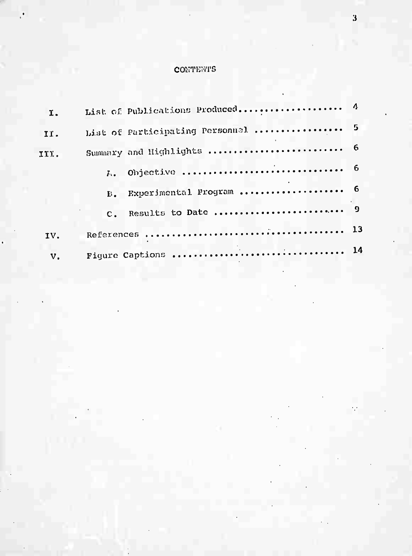### **CONTENTS**

| I.            |               |                                    |  |
|---------------|---------------|------------------------------------|--|
| II.           |               | List of Participating Personnel  5 |  |
| III.          |               |                                    |  |
|               |               |                                    |  |
|               | $E_{\bullet}$ | Experimental Program  6            |  |
|               | $C_{\bullet}$ |                                    |  |
| IV.           |               |                                    |  |
| $V_{\bullet}$ |               |                                    |  |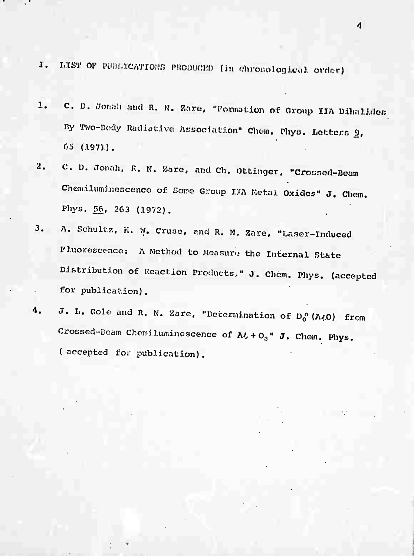- I. **LIST** OF PUBLICATIONS PRODUCED (in chronological order)
- 1. C. D. Jonah and R. N. Zare, "Pormation of Group IIA Dihalides By Two-Body Radiative Association" Chem. Phys. Letters 2, 6S (.1.973).
- 2. C. D. Jonah, R. N. Zare, and Ch. Ottinger, "Crossed-Beam Chemiluminescence of Some Group IIA Metal Oxides" J. Chem. Phys. 56, 263 (1972).
- 3. A. Schultz. H. w. cruse, and R. N. Zare. "Laser-Induced Fluorescence: A Method to Measure the Internal State Distribution of Reaction Products/' J. chem. Phys. (accepted for publication).
- $\cdot$  . J. L. Gole and R. N. Zare, "Determination of Do (A $\ell$ O) from Crossed-Beam Chemiluminescence of  $\mathbf{A}t + \mathbf{O}_3$  " J. Chem. Phys. (accepted for publication).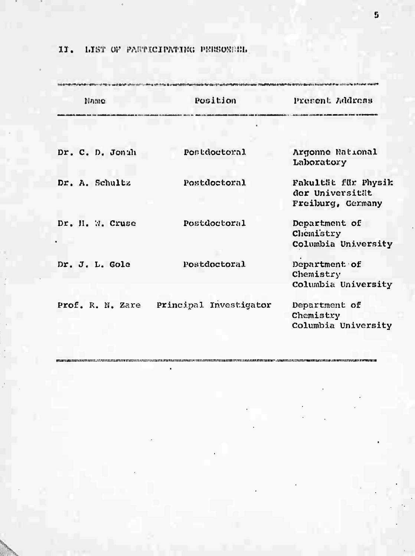## II. LIST OF PARTICIPATING PERSONALL

| Namo             | Position               | Present Address                                             |
|------------------|------------------------|-------------------------------------------------------------|
|                  |                        |                                                             |
| Dr. C. D. Jonuh  | Postdoctoral           | Argonne National<br>Laboratory                              |
| Dr. A. Schultz   | Postdoctoral           | Fakultät für Physik<br>der Universität<br>Freiburg, Cermany |
| Dr. H. W. Cruse  | Postdoctoral           | Department of<br>Chemistry<br>Columbia University           |
| Dr. J. L. Gole   | Postdoctoral           | Department of<br>Chemistry<br>Columbia University           |
| Prof. R. N. Zare | Principal Investigator | Department of<br>Chemistry<br>Columbia University           |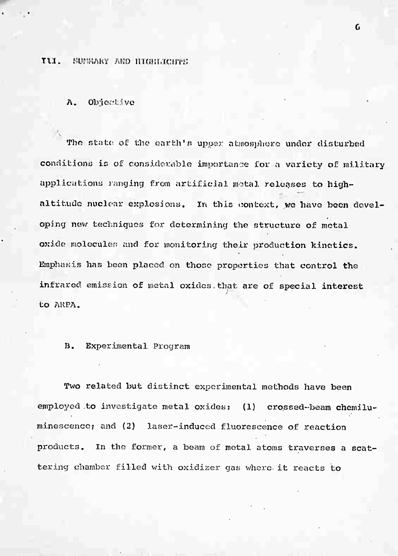#### Til. SUMMARY AND HIGHLIGHTS

A. Objöctivo

The state of the earth's upper atmosphere under disturbed conditions ic of considerable importance for a variety of military applications ranging from artificial motal releases to highaltitude nuclear explosions. In this context, we have been developing new techniques for determining the structure of metal oxide molecules and for monitoring their production kinetics. Emphasis has been placed on those properties that control the infrared, emission of metal oxides, that are of special interest to ARPA. /

#### B. Experimental Program

Two related but distinct experimental methods have been employed to investigate metal oxides: (1) crossed-beam chemiluminescence; and (2) laser-induced fluorescence of reaction products. In the former, a beam of metal atoms traverses a scattering chamber filled with oxidizer gas where it reacts to

 $\mathbf{G}$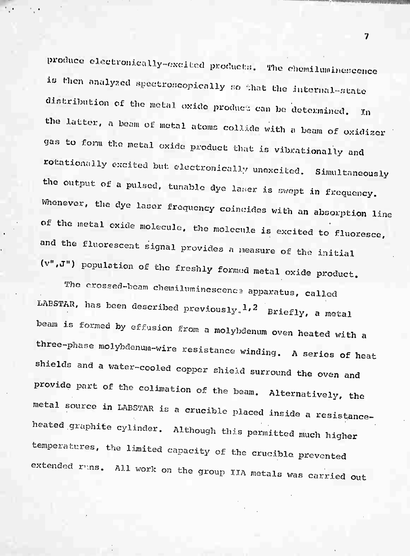produce electronically-excited products. The chemiluminescence is then analyzed spectroscopically so that the internal-state distribution of the metal oxide product can be determined. 'In the latter, a beam of motal atoms collide with a beam of oxidizer gas to form the metal oxide product that is vibrationally and rotationally excited but electronically unexcited. Simultaneously the output of a pulsed, tunable dye laser is swept in frequency. Whenever, the dye laser frequency coincides with an absorption line of the metal exide molecule, the molecule is excited to fluoresce, and the fluorescent signal provides a measure of the initial (v",J") population of the freshly formed metal oxide product.

The crossed-beam chemiluminescence apparatus, called LABSTAR, has been described previously.<sup>1,2</sup> Briefly, a metal beam is formed by effusion from a molybdenum oven heated with a three-phase molybdenum-wire resistance winding. A series of heat shields and a water-cooled copper shield surround the oven and provide part of the colimation of the beam. Alternatively, the metal source in LABSTAR is a crucible placed inside a resistanceheated graphite cylinder. Although this permitted much higher temperatures, the limited capacity of the crucible prevented extended runs. All work on the group IIA metals was carried out

 $\overline{\mathbf{7}}$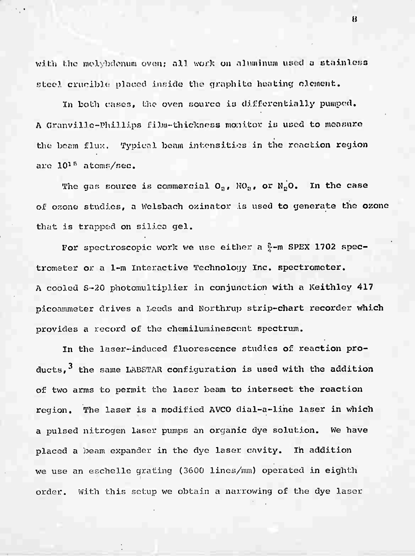with the molybdenum oven; all work on aluminum used a stainless steel crucible placed inside the graphite heating clement.

In both cases, the oven source *Xü* differentially pumped. A Granville-Phillips film-thickness monitor is used to measure the beam flux. Typical beam intensities in the reaction region are  $10^{15}$  atoms/sec.

The gas source is commercial  $O_a$ ,  $NO_a$ , or  $N_aO$ . In the case of ozone studies, a Welsbach ozinator is used to generate the ozone that is trapped on silica gel.

For spectroscopic work we use either a  $2 - m$  SPEX 1702 spectrometer or a 1-m Interactive Technology Inc. spectrometer. A cooled S-20 photomultiplier in conjunction with a Keithley 417 picoammeter drives a Leeds and Korthrup strip-chart recorder which provides a record of the chemiluminescent spectrum.

In the laser-induced fluorescence studies of reaction products, $^{\text{3}}$  the same LABSTAR configuration is used with the addition of two arms to permit the laser beam to intersect the reaction region. The laser is a modified AVCO dial-a-line laser in which a pulsed nitrogen laser pumps an organic dye solution. We have placed a beam expander in the dye laser cavity. In addition we use an esehelle grating (3600 lines/mm) operated in eighth order. With this setup we obtain a narrowing of the dye laser

 $\boldsymbol{\mu}$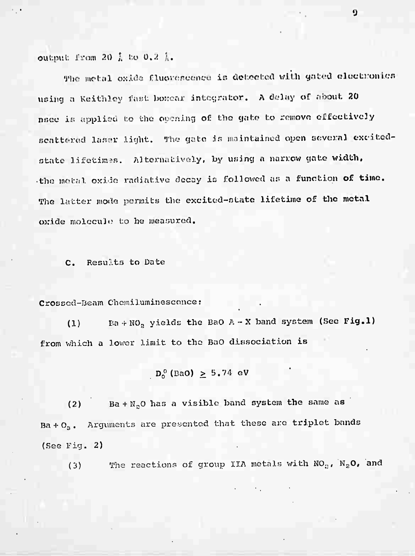output from 20 } to 0.2 }.

The metal oxide fluorescence is detected with gated electronics using a Keithley fast boxcar integrator. A delay of about 20 nsee is applied to the opening of the gate to remove effectively scattered laser light. The gate is maintained open several excitedstate lifetimes. Alternatively, by using a narrow gate width, the metal oxide radiative decay is followed as a function of time. The latter mode permits the excited-state lifetime of the metal oxide molecule to be measured.

Results to Date  $c_{\bullet}$ 

Crossed-Beam Chemiluminescence:

Ba + NO<sub>2</sub> yields the BaO A - X band system (Sec Fig.1)  $(1)$ from which a lower limit to the BaO dissociation is

$$
D_0^0
$$
 (BaO)  $> 5.74$  eV

Ba +  $N_2$ O has a visible band system the same as  $(2)$ Ba +  $O_3$ . Arguments are presented that these are triplet bands  $(See$  Fig. 2)

The reactions of group IIA metals with NO<sub>2</sub>, N<sub>2</sub>O, and  $(3)$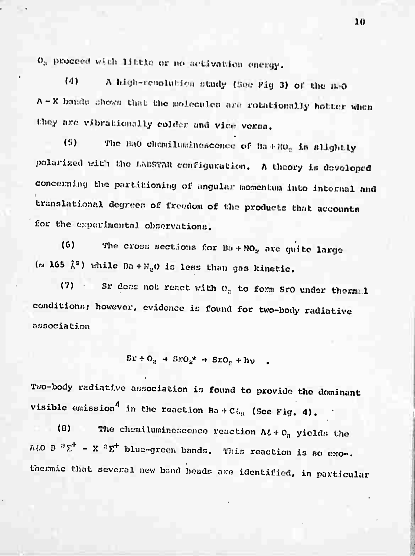O<sub>a</sub> proceed with little or no activation energy.

 $(4)$ A high-renolution study (See Fig 3) of the BeO A - X bands shows that the molecules are rotationally hotter when they are vibrationally colder and vice versa.

The BaO chemiluminescence of Ba+RO<sub>2</sub> is slightly  $(5)$ polarized with the LABSTAR configuration. A theory is developed concerning the partitioning of angular momentum into internal and translational degrees of freedom of the products that accounts for the experimental observations.

The cross sections for Ba + RO<sub>2</sub> are quite large  $(6)$ ( $\approx$  165  $\hat{k}^2$ ) while Ba + N<sub>2</sub>O is less than gas kinetic.

Sr does not react with  $O_3$  to form SrO under thermal  $(7)$ conditions; however, evidence is found for two-body radiative association

 $Sx + O_2 \rightarrow SxO_2^* \rightarrow SxO_2 + h\nu$ .

Two-body radiative association is found to provide the dominant visible emission<sup>4</sup> in the reaction Ba+C<sub>in</sub> (See Fig. 4).

The chemiluminescence reaction  $Nt + O_3$  yields the  $(8)$ A $t$ O B<sup>3</sup> $\Sigma$ <sup>+</sup> - X<sup>2</sup> $\Sigma$ <sup>+</sup> blue-green bands. This reaction is so exo-. thermic that several new band heads are identified, in particular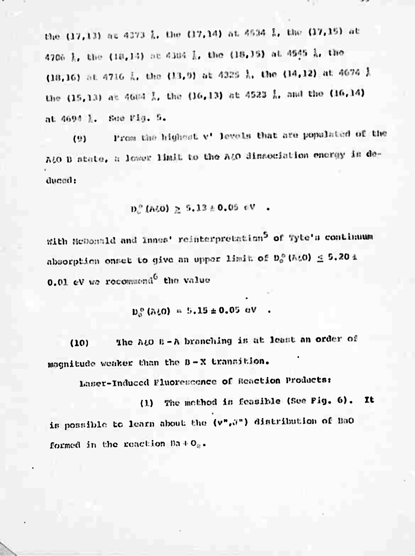the (17,13) at 4373 L. the (17,14) at 4534 L. the (17,15) at 4706 1, the (18,14) at 4304 1, the (18,15) at 4949 1, the (18,16) at 4716 L. the (13,9) at 4225 L. the (14,12) at 4674 L the (15,13) at 46th 1, the (16,13) at 4523 1, and the (16,14) at 4694 1. See Pla. S.

From the bighest v' levels that are populated of the  $(9)$ A&O B state, a lower limit to the A&O dissociation energy is deducad:

$$
D_{\rm c}^{\,0} \, (N_2 O) \geq 5.13 \pm 0.05 \, \text{eV}
$$

with NeDonald and Innes' reinterpretation<sup>5</sup> of Tyte's continuum absorption onset to give an upper limit of  $D_0^0$  (A $t0$ )  $\leq 5.20$  i 0.01 eV we recommend<sup>6</sup> the value

 $D_0^0$  (310) = 5.15 ± 0.05 eV

The ALO B-A branching is at least an order of  $(10)$ magnitude weaker than the B-X transition.

Laser-Induced Fluorescence of Reaction Products:

(1) The mothod is feasible (See Pig. 6). It is possible to learn about the (v", ") distribution of BaO formed in the reaction Ba+O<sub>2</sub>.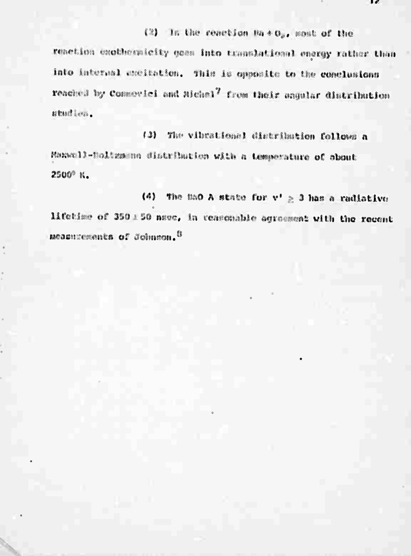## (2) In the reaction Ma+0,, most of the

reaction exotberatelty gees into translational energy rather than into internal excitation. This is opposite to the conclusions reached by Commoviei and Michel<sup>7</sup> from their angular distribution studies.

(3) The vibrational distribution follows a Maxwell-Boltzmann distribution with a temperature of obout 2500° K.

(4) The mao A state for  $v' \ge 3$  has a radiative lifetime of 350 1 50 nsec, in teasonable agreement with the recent measurements of Johnson. <sup>6</sup>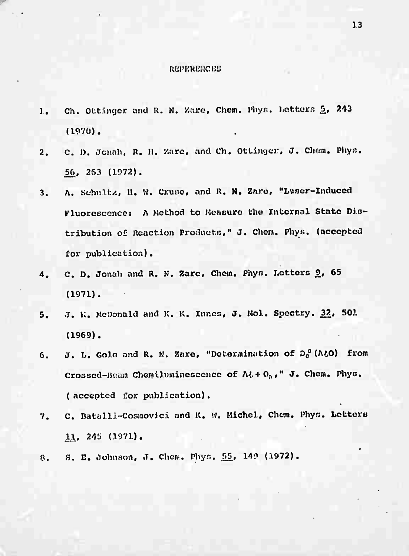#### REPERENCES.

- 1. Ch. Ottinger and R. N. Zare, Chem. Phys. Letters 5, 243 (1970).
- 2. C. D. Jonah, R. H. Zare, and Ch. Ottinger, J. Chem. Phys. 56, 263 (1072).
- 3. A. Schultz, H. W. Cruse, and R. N. Zare, "Laser-Induced Fluorescence: A Method to Measure the Internal State Distribution of Reaction Products," J. Chem. Phys. (accepted for publication).
- 4. C. D. Jonah and R. N. Zare, Chem. Phys. Letters 2, 65 (1971).
- 5. J. K. McDonald and K. K. Inncs, J. Mol. Spoctry. 32, 501 (1969).
- 6. J. L. Gole and R. N. Zare, "Determination of  $D_0^{\,0}$  (A $\ell$ O) from Crossed-Beam Chemiluminescence of  $\Lambda$ & +  $\mathrm{O}_{3}$ ," J. Chem. Phys. ( accepted for publication),
- 7. C. Datalli-Cosmovici and K. W. Michel, Chem. Phys. Letters 11, 245 (1971).
- 8. S. E. Johnson, J. Chem. Phys. 55, 149 (1972).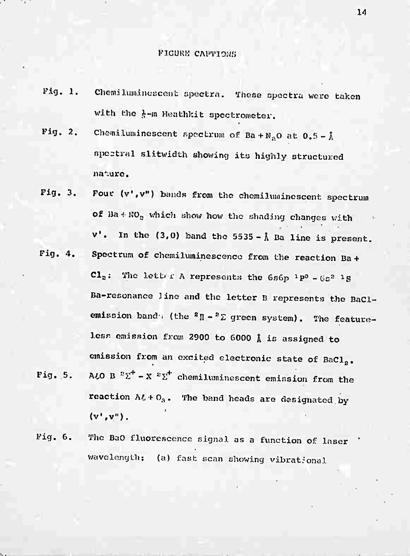#### PIGURM CAPTIONS

- Fig. 1. Chemiluminoscent spectra. These spectra were taken with the  $\frac{1}{5}$ -m Heathkit spectrometer.
- Fig. 2. Chemiluminescent spectrum of Ba + N<sub>o</sub>O at  $0.5-\lambda$ spectral slltwidth showing its highly structured nature.
- Pig. 3. Pouc (v'.v") bands from the chemiluminescent spectrum of  $Ba + RO<sub>a</sub>$  which show how the shading changes with  $v'$ . In the (3,0) band the 5535 -  $\hat{\Lambda}$  Ba line is present.
- Fig. 4. Spectrum of chemiluminescence from the reaction Ba+  $\mathbf{Cl}_2$ : The letter A represents the 6s6p <sup>1</sup>P<sup>0</sup> - 6s<sup>2</sup> <sup>1</sup>S Ba-resonance Jino and the letter B represents the BaClemission band (the  ${}^{2}$   $\P$  -  ${}^{2}$   $\Sigma$  green system). The featureless emission from <sup>2900</sup> to <sup>6000</sup> *I* is assigned to emission from an excited electronic state of BaCl<sub>2</sub>.
- Fig. 5. A $\mathcal{L}$ O B  $^2\Sigma^+$  X  $^2\Sigma^+$  chemiluminescent emission from the reaction  $\Lambda t + O_3$ . The band heads are designated by  $(v',v'')$ .
- Pig. 6. The BaO fluorescence signal, as a function of laser ' wayelength: (a) fast scan showing vibrational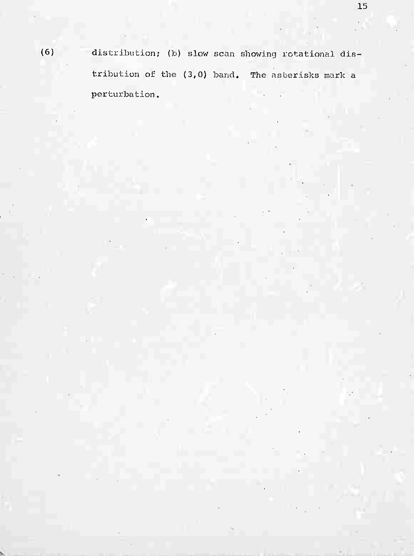(6) distribution; (b) slow scan showing rotational distribution of the (3,0) band. The asterisks mark a perturbation.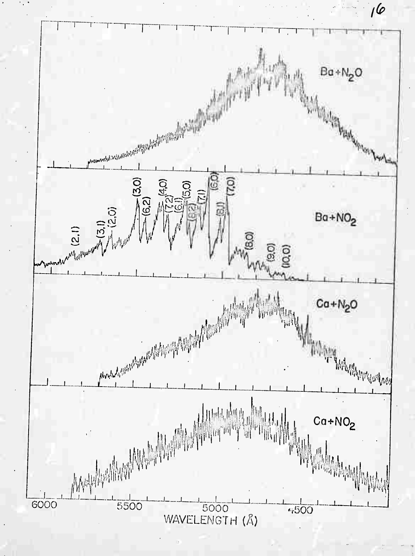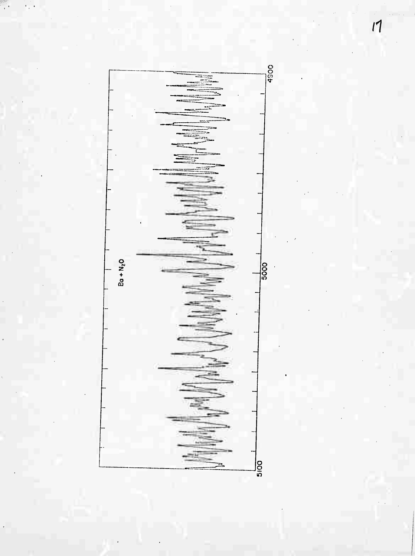

 $\epsilon_{\rm{p}}$  .

 $\overline{A}$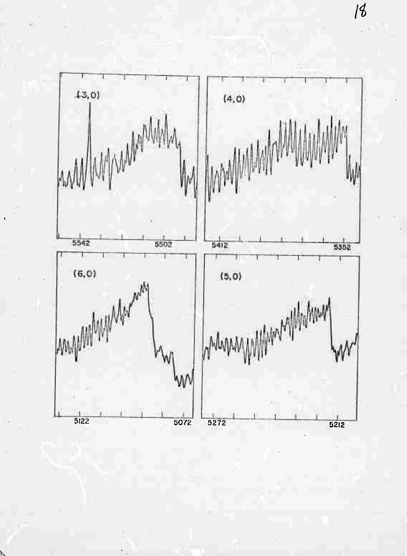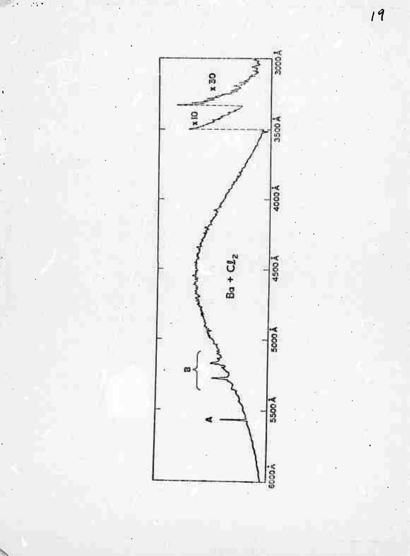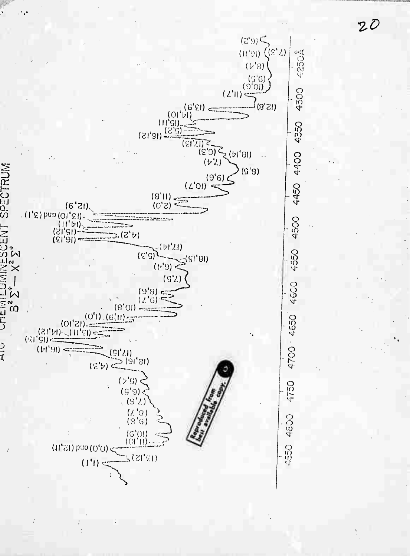